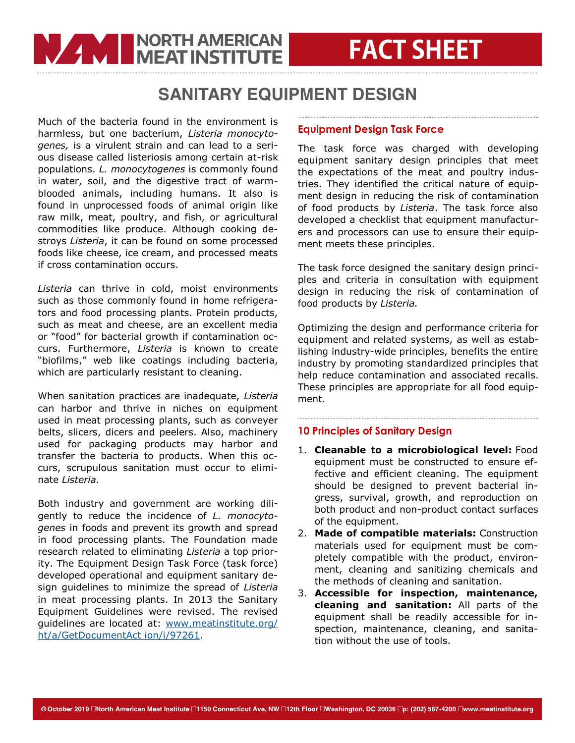### SANITARY EQUIPMENT DESIGN

Much of the bacteria found in the environment is harmless, but one bacterium, *Listeria monocytogenes,* is a virulent strain and can lead to a serious disease called listeriosis among certain at-risk populations. *L. monocytogenes* is commonly found in water, soil, and the digestive tract of warmblooded animals, including humans. It also is found in unprocessed foods of animal origin like raw milk, meat, poultry, and fish, or agricultural commodities like produce. Although cooking destroys *Listeria*, it can be found on some processed foods like cheese, ice cream, and processed meats if cross contamination occurs.

**WARD IN DISPUTE THE MEAT INSTITUTE** 

*Listeria* can thrive in cold, moist environments such as those commonly found in home refrigerators and food processing plants. Protein products, such as meat and cheese, are an excellent media or "food" for bacterial growth if contamination occurs. Furthermore, *Listeria* is known to create "biofilms," web like coatings including bacteria, which are particularly resistant to cleaning.

When sanitation practices are inadequate, *Listeria*  can harbor and thrive in niches on equipment used in meat processing plants, such as conveyer belts, slicers, dicers and peelers. Also, machinery used for packaging products may harbor and transfer the bacteria to products. When this occurs, scrupulous sanitation must occur to eliminate *Listeria.*

Both industry and government are working diligently to reduce the incidence of *L. monocytogenes* in foods and prevent its growth and spread in food processing plants. The Foundation made research related to eliminating *Listeria* a top priority. The Equipment Design Task Force (task force) developed operational and equipment sanitary design guidelines to minimize the spread of *Listeria* in meat processing plants. In 2013 the Sanitary Equipment Guidelines were revised. The revised guidelines are located at: [www.meatinstitute.org/](http://www.meatinstitute.org/ht/a/GetDocumentAct%20ion/i/97261) [ht/a/GetDocumentAct ion/i/97261.](http://www.meatinstitute.org/ht/a/GetDocumentAct%20ion/i/97261)

#### **Equipment Design Task Force**

The task force was charged with developing equipment sanitary design principles that meet the expectations of the meat and poultry industries. They identified the critical nature of equipment design in reducing the risk of contamination of food products by *Listeria*. The task force also developed a checklist that equipment manufacturers and processors can use to ensure their equipment meets these principles.

The task force designed the sanitary design principles and criteria in consultation with equipment design in reducing the risk of contamination of food products by *Listeria.*

Optimizing the design and performance criteria for equipment and related systems, as well as establishing industry-wide principles, benefits the entire industry by promoting standardized principles that help reduce contamination and associated recalls. These principles are appropriate for all food equipment.

### **10 Principles of Sanitary Design**

- 1. **Cleanable to a microbiological level:** Food equipment must be constructed to ensure effective and efficient cleaning. The equipment should be designed to prevent bacterial ingress, survival, growth, and reproduction on both product and non-product contact surfaces of the equipment.
- 2. **Made of compatible materials:** Construction materials used for equipment must be completely compatible with the product, environment, cleaning and sanitizing chemicals and the methods of cleaning and sanitation.
- 3. **Accessible for inspection, maintenance, cleaning and sanitation:** All parts of the equipment shall be readily accessible for inspection, maintenance, cleaning, and sanitation without the use of tools.